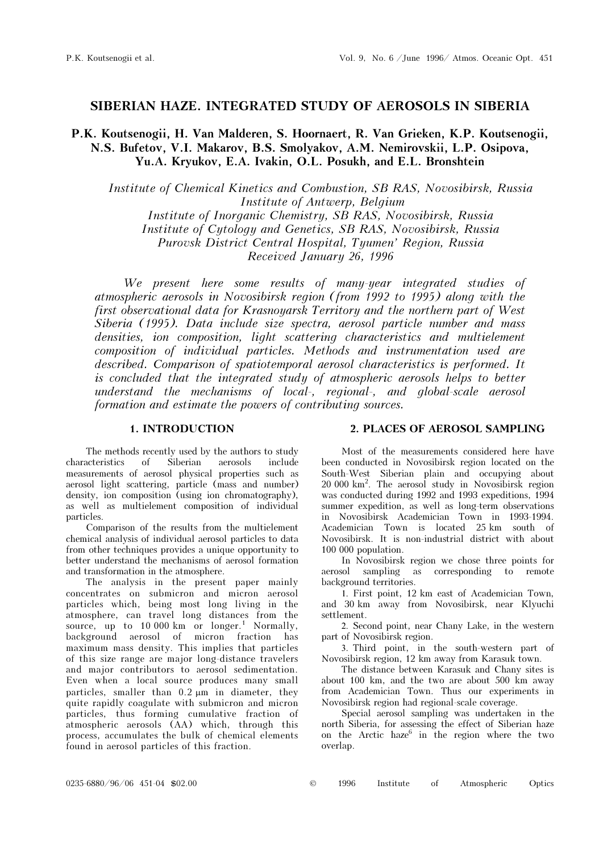# SIBERIAN HAZE. INTEGRATED STUDY OF AEROSOLS IN SIBERIA

P.K. Koutsenogii, H. Van Malderen, S. Hoornaert, R. Van Grieken, K.P. Koutsenogii, N.S. Bufetov, V.I. Makarov, B.S. Smolyakov, A.M. Nemirovskii, L.P. Osipova, Yu.A. Kryukov, E.A. Ivakin, O.L. Posukh, and E.L. Bronshtein

Institute of Chemical Kinetics and Combustion, SB RAS, Novosibirsk, Russia Institute of Antwerp, Belgium Institute of Inorganic Chemistry, SB RAS, Novosibirsk, Russia Institute of Cytology and Genetics, SB RAS, Novosibirsk, Russia Purovsk District Central Hospital, Tyumen' Region, Russia Received January 26, 1996

We present here some results of many-year integrated studies of atmospheric aerosols in Novosibirsk region (from 1992 to 1995) along with the first observational data for Krasnoyarsk Territory and the northern part of West Siberia (1995). Data include size spectra, aerosol particle number and mass densities, ion composition, light scattering characteristics and multielement composition of individual particles. Methods and instrumentation used are described. Comparison of spatiotemporal aerosol characteristics is performed. It is concluded that the integrated study of atmospheric aerosols helps to better understand the mechanisms of local-, regional-, and global-scale aerosol formation and estimate the powers of contributing sources.

## 1. INTRODUCTION

The methods recently used by the authors to study characteristics of Siberian aerosols include measurements of aerosol physical properties such as aerosol light scattering, particle (mass and number) density, ion composition (using ion chromatography), as well as multielement composition of individual particles.

Comparison of the results from the multielement chemical analysis of individual aerosol particles to data from other techniques provides a unique opportunity to better understand the mechanisms of aerosol formation and transformation in the atmosphere.

The analysis in the present paper mainly concentrates on submicron and micron aerosol particles which, being most long living in the atmosphere, can travel long distances from the source, up to 10 000 km or longer.<sup>1</sup> Normally, background aerosol of micron fraction has maximum mass density. This implies that particles of this size range are major long-distance travelers and major contributors to aerosol sedimentation. Even when a local source produces many small particles, smaller than 0.2 µm in diameter, they quite rapidly coagulate with submicron and micron particles, thus forming cumulative fraction of atmospheric aerosols (AA) which, through this process, accumulates the bulk of chemical elements found in aerosol particles of this fraction.

## 2. PLACES OF AEROSOL SAMPLING

Most of the measurements considered here have been conducted in Novosibirsk region located on the South-West Siberian plain and occupying about 20 000 km<sup>2</sup> . The aerosol study in Novosibirsk region was conducted during 1992 and 1993 expeditions, 1994 summer expedition, as well as long-term observations in Novosibirsk Academician Town in 1993-1994. Academician Town is located 25 km south of Novosibirsk. It is non-industrial district with about 100 000 population.

In Novosibirsk region we chose three points for aerosol sampling as corresponding to remote background territories.

1. First point, 12 km east of Academician Town, and 30 km away from Novosibirsk, near Klyuchi settlement.

2. Second point, near Chany Lake, in the western part of Novosibirsk region.

3. Third point, in the south-western part of Novosibirsk region, 12 km away from Karasuk town.

The distance between Karasuk and Chany sites is about 100 km, and the two are about 500 km away from Academician Town. Thus our experiments in Novosibirsk region had regional-scale coverage.

Special aerosol sampling was undertaken in the north Siberia, for assessing the effect of Siberian haze on the Arctic haze<sup>6</sup> in the region where the two overlap.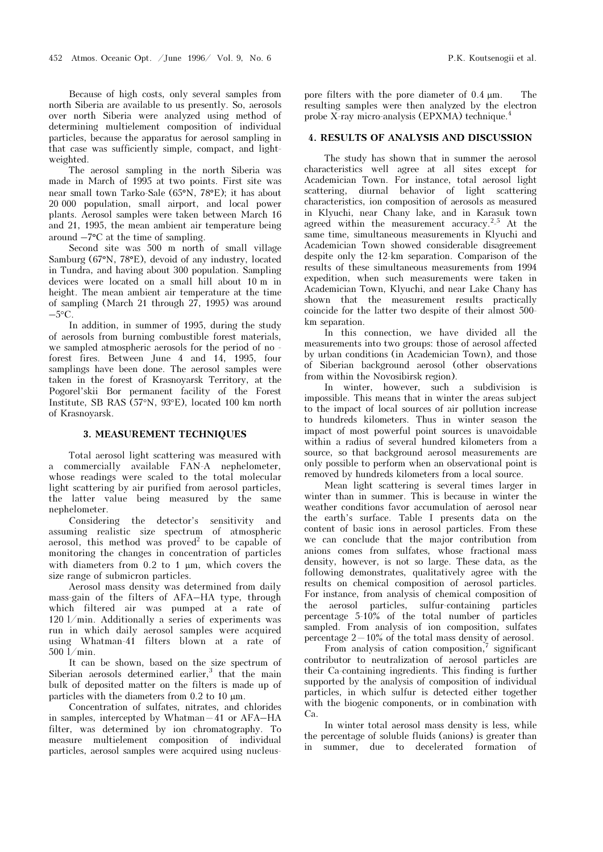Because of high costs, only several samples from north Siberia are available to us presently. So, aerosols over north Siberia were analyzed using method of determining multielement composition of individual particles, because the apparatus for aerosol sampling in that case was sufficiently simple, compact, and lightweighted.

The aerosol sampling in the north Siberia was made in March of 1995 at two points. First site was near small town Tarko-Sale (65°N, 78°E); it has about 20 000 population, small airport, and local power plants. Aerosol samples were taken between March 16 and 21, 1995, the mean ambient air temperature being around –7°C at the time of sampling.

Second site was 500 m north of small village Samburg (67°N, 78°E), devoid of any industry, located in Tundra, and having about 300 population. Sampling devices were located on a small hill about 10 m in height. The mean ambient air temperature at the time of sampling (March 21 through 27, 1995) was around  $-5$ °C.

In addition, in summer of 1995, during the study of aerosols from burning combustible forest materials, we sampled atmospheric aerosols for the period of no forest fires. Between June 4 and 14, 1995, four samplings have been done. The aerosol samples were taken in the forest of Krasnoyarsk Territory, at the Pogorel'skii Bor permanent facility of the Forest Institute, SB RAS (57°N, 93°E), located 100 km north of Krasnoyarsk.

#### 3. MEASUREMENT TECHNIQUES

Total aerosol light scattering was measured with a commercially available FAN-A nephelometer, whose readings were scaled to the total molecular light scattering by air purified from aerosol particles, the latter value being measured by the same nephelometer.

Considering the detector's sensitivity and assuming realistic size spectrum of atmospheric aerosol, this method was proved<sup>2</sup> to be capable of monitoring the changes in concentration of particles with diameters from 0.2 to 1  $\mu$ m, which covers the size range of submicron particles.

Aerosol mass density was determined from daily mass-gain of the filters of AFA–HA type, through which filtered air was pumped at a rate of 120 l/min. Additionally a series of experiments was run in which daily aerosol samples were acquired using Whatman-41 filters blown at a rate of 500 l/min.

It can be shown, based on the size spectrum of Siberian aerosols determined earlier,<sup>3</sup> that the main bulk of deposited matter on the filters is made up of particles with the diameters from  $0.2$  to  $10 \mu m$ .

Concentration of sulfates, nitrates, and chlorides in samples, intercepted by Whatman—41 or AFA–HA filter, was determined by ion chromatography. To measure multielement composition of individual particles, aerosol samples were acquired using nucleuspore filters with the pore diameter of 0.4 µm. The resulting samples were then analyzed by the electron probe X-ray micro-analysis (EPXMA) technique.<sup>4</sup>

### 4. RESULTS OF ANALYSIS AND DISCUSSION

The study has shown that in summer the aerosol characteristics well agree at all sites except for Academician Town. For instance, total aerosol light scattering, diurnal behavior of light scattering characteristics, ion composition of aerosols as measured in Klyuchi, near Chany lake, and in Karasuk town agreed within the measurement accuracy.<sup>2-5</sup> At the same time, simultaneous measurements in Klyuchi and Academician Town showed considerable disagreement despite only the 12-km separation. Comparison of the results of these simultaneous measurements from 1994 expedition, when such measurements were taken in Academician Town, Klyuchi, and near Lake Chany has shown that the measurement results practically coincide for the latter two despite of their almost 500 km separation.

In this connection, we have divided all the measurements into two groups: those of aerosol affected by urban conditions (in Academician Town), and those of Siberian background aerosol (other observations from within the Novosibirsk region).

In winter, however, such a subdivision is impossible. This means that in winter the areas subject to the impact of local sources of air pollution increase to hundreds kilometers. Thus in winter season the impact of most powerful point sources is unavoidable within a radius of several hundred kilometers from a source, so that background aerosol measurements are only possible to perform when an observational point is removed by hundreds kilometers from a local source.

Mean light scattering is several times larger in winter than in summer. This is because in winter the weather conditions favor accumulation of aerosol near the earth's surface. Table I presents data on the content of basic ions in aerosol particles. From these we can conclude that the major contribution from anions comes from sulfates, whose fractional mass density, however, is not so large. These data, as the following demonstrates, qualitatively agree with the results on chemical composition of aerosol particles. For instance, from analysis of chemical composition of the aerosol particles, sulfur-containing particles percentage 5-10% of the total number of particles sampled. From analysis of ion composition, sulfates percentage  $2-10\%$  of the total mass density of aerosol.

From analysis of cation composition, $\bar{7}$  significant contributor to neutralization of aerosol particles are their Ca-containing ingredients. This finding is further supported by the analysis of composition of individual particles, in which sulfur is detected either together with the biogenic components, or in combination with Ca.

In winter total aerosol mass density is less, while the percentage of soluble fluids (anions) is greater than in summer, due to decelerated formation of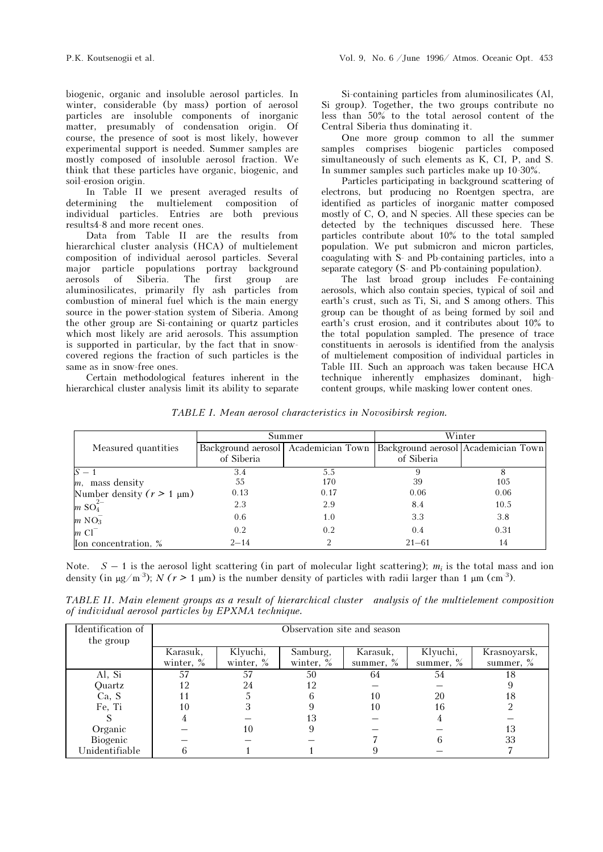biogenic, organic and insoluble aerosol particles. In winter, considerable (by mass) portion of aerosol particles are insoluble components of inorganic matter, presumably of condensation origin. Of course, the presence of soot is most likely, however experimental support is needed. Summer samples are mostly composed of insoluble aerosol fraction. We think that these particles have organic, biogenic, and soil-erosion origin.

In Table II we present averaged results of determining the multielement composition of individual particles. Entries are both previous results4-8 and more recent ones.

Data from Table II are the results from hierarchical cluster analysis (HCA) of multielement composition of individual aerosol particles. Several major particle populations portray background aerosols of Siberia. The first group are aluminosilicates, primarily fly ash particles from combustion of mineral fuel which is the main energy source in the power-station system of Siberia. Among the other group are Si-containing or quartz particles which most likely are arid aerosols. This assumption is supported in particular, by the fact that in snowcovered regions the fraction of such particles is the same as in snow-free ones.

Certain methodological features inherent in the hierarchical cluster analysis limit its ability to separate

Si-containing particles from aluminosilicates (Al, Si group). Together, the two groups contribute no less than 50% to the total aerosol content of the Central Siberia thus dominating it.

One more group common to all the summer samples comprises biogenic particles composed simultaneously of such elements as K, CI, P, and S. In summer samples such particles make up 10-30%.

Particles participating in background scattering of electrons, but producing no Roentgen spectra, are identified as particles of inorganic matter composed mostly of C, O, and N species. All these species can be detected by the techniques discussed here. These particles contribute about 10% to the total sampled population. We put submicron and micron particles, coagulating with S- and Pb-containing particles, into a separate category (S- and Pb-containing population).

The last broad group includes Fe-containing aerosols, which also contain species, typical of soil and earth's crust, such as Ti, Si, and S among others. This group can be thought of as being formed by soil and earth's crust erosion, and it contributes about 10% to the total population sampled. The presence of trace constituents in aerosols is identified from the analysis of multielement composition of individual particles in Table III. Such an approach was taken because HCA technique inherently emphasizes dominant, highcontent groups, while masking lower content ones.

TABLE I. Mean aerosol characteristics in Novosibirsk region.

|                                   |            | Summer                              | Winter                              |      |  |
|-----------------------------------|------------|-------------------------------------|-------------------------------------|------|--|
| Measured quantities               |            | Background aerosol Academician Town | Background aerosol Academician Town |      |  |
|                                   | of Siberia |                                     | of Siberia                          |      |  |
|                                   | 3.4        | 5.5                                 |                                     |      |  |
| $m$ , mass density                | 55         | 170                                 | 39                                  | 105  |  |
| Number density ( $r > 1 \mu m$ )  | 0.13       | 0.17                                | 0.06                                | 0.06 |  |
| $m$ SO <sub>4</sub> <sup>2-</sup> | 2.3        | 2.9                                 | 8.4                                 | 10.5 |  |
| $m \text{ NO}_3^-$                | 0.6        | 1.0                                 | 3.3                                 | 3.8  |  |
| $m$ Cl <sup><math>-</math></sup>  | 0.2        | 0.2                                 | 0.4                                 | 0.31 |  |
| Ion concentration, %              | $2 - 14$   |                                     | $21 - 61$                           | 14   |  |

Note.  $S-1$  is the aerosol light scattering (in part of molecular light scattering);  $m_i$  is the total mass and ion density (in  $\mu g/m^{-3}$ );  $N (r > 1 \mu m)$  is the number density of particles with radii larger than 1  $\mu$ m (cm<sup>-3</sup>).

TABLE II. Main element groups as a result of hierarchical cluster analysis of the multielement composition of individual aerosol particles by EPXMA technique.

| Identification of | Observation site and season |              |              |              |              |              |  |  |
|-------------------|-----------------------------|--------------|--------------|--------------|--------------|--------------|--|--|
| the group         |                             |              |              |              |              |              |  |  |
|                   | Karasuk,                    | Klyuchi,     | Samburg,     | Karasuk,     | Klyuchi,     | Krasnoyarsk, |  |  |
|                   | winter, $\%$                | winter, $\%$ | winter, $\%$ | summer, $\%$ | summer, $\%$ | summer, $\%$ |  |  |
| Al, Si            | 57                          | 57           | 50           | 64           | 54           | 18           |  |  |
| Ouartz            | 12                          | 24           |              |              |              |              |  |  |
| Ca, S             | 11                          |              |              | 10           | 20           | 18           |  |  |
| Fe, Ti            | 10                          |              |              | 10           | 16           |              |  |  |
|                   |                             |              | 13           |              |              |              |  |  |
| Organic           |                             | 10           |              |              |              | 13           |  |  |
| Biogenic          |                             |              |              |              |              | 33           |  |  |
| Unidentifiable    |                             |              |              |              |              |              |  |  |